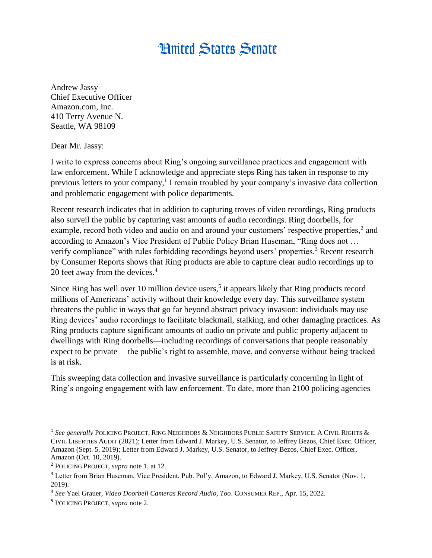## **Hnited States Senate**

Andrew Jassy Chief Executive Officer Amazon.com, Inc. 410 Terry Avenue N. Seattle, WA 98109

Dear Mr. Jassy:

I write to express concerns about Ring's ongoing surveillance practices and engagement with law enforcement. While I acknowledge and appreciate steps Ring has taken in response to my previous letters to your company,<sup>1</sup> I remain troubled by your company's invasive data collection and problematic engagement with police departments.

Recent research indicates that in addition to capturing troves of video recordings, Ring products also surveil the public by capturing vast amounts of audio recordings. Ring doorbells, for example, record both video and audio on and around your customers' respective properties,<sup>2</sup> and according to Amazon's Vice President of Public Policy Brian Huseman, "Ring does not … verify compliance" with rules forbidding recordings beyond users' properties.<sup>3</sup> Recent research by Consumer Reports shows that Ring products are able to capture clear audio recordings up to 20 feet away from the devices.<sup>4</sup>

Since Ring has well over 10 million device users,<sup>5</sup> it appears likely that Ring products record millions of Americans' activity without their knowledge every day. This surveillance system threatens the public in ways that go far beyond abstract privacy invasion: individuals may use Ring devices' audio recordings to facilitate blackmail, stalking, and other damaging practices. As Ring products capture significant amounts of audio on private and public property adjacent to dwellings with Ring doorbells—including recordings of conversations that people reasonably expect to be private— the public's right to assemble, move, and converse without being tracked is at risk.

This sweeping data collection and invasive surveillance is particularly concerning in light of Ring's ongoing engagement with law enforcement. To date, more than 2100 policing agencies

 $\overline{\phantom{a}}$ 

<sup>&</sup>lt;sup>1</sup> See generally POLICING PROJECT, RING NEIGHBORS & NEIGHBORS PUBLIC SAFETY SERVICE: A CIVIL RIGHTS & CIVIL LIBERTIES AUDIT (2021); Letter from Edward J. Markey, U.S. Senator, to Jeffrey Bezos, Chief Exec. Officer, Amazon (Sept. 5, 2019); Letter from Edward J. Markey, U.S. Senator, to Jeffrey Bezos, Chief Exec. Officer, Amazon (Oct. 10, 2019).

<sup>2</sup> POLICING PROJECT, *supra* note 1, at 12.

<sup>&</sup>lt;sup>3</sup> Letter from Brian Huseman, Vice President, Pub. Pol'y, Amazon, to Edward J. Markey, U.S. Senator (Nov. 1, 2019).

<sup>4</sup> *See* Yael Grauer, *Video Doorbell Cameras Record Audio, Too*. CONSUMER REP., Apr. 15, 2022.

<sup>5</sup> POLICING PROJECT, *supra* note 2.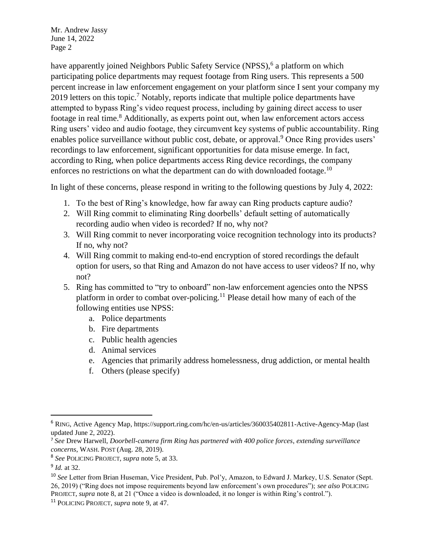Mr. Andrew Jassy June 14, 2022 Page 2

have apparently joined Neighbors Public Safety Service (NPSS),<sup>6</sup> a platform on which participating police departments may request footage from Ring users. This represents a 500 percent increase in law enforcement engagement on your platform since I sent your company my 2019 letters on this topic.<sup>7</sup> Notably, reports indicate that multiple police departments have attempted to bypass Ring's video request process, including by gaining direct access to user footage in real time.<sup>8</sup> Additionally, as experts point out, when law enforcement actors access Ring users' video and audio footage, they circumvent key systems of public accountability. Ring enables police surveillance without public cost, debate, or approval.<sup>9</sup> Once Ring provides users' recordings to law enforcement, significant opportunities for data misuse emerge. In fact, according to Ring, when police departments access Ring device recordings, the company enforces no restrictions on what the department can do with downloaded footage.<sup>10</sup>

In light of these concerns, please respond in writing to the following questions by July 4, 2022:

- 1. To the best of Ring's knowledge, how far away can Ring products capture audio?
- 2. Will Ring commit to eliminating Ring doorbells' default setting of automatically recording audio when video is recorded? If no, why not?
- 3. Will Ring commit to never incorporating voice recognition technology into its products? If no, why not?
- 4. Will Ring commit to making end-to-end encryption of stored recordings the default option for users, so that Ring and Amazon do not have access to user videos? If no, why not?
- 5. Ring has committed to "try to onboard" non-law enforcement agencies onto the NPSS platform in order to combat over-policing.<sup>11</sup> Please detail how many of each of the following entities use NPSS:
	- a. Police departments
	- b. Fire departments
	- c. Public health agencies
	- d. Animal services
	- e. Agencies that primarily address homelessness, drug addiction, or mental health
	- f. Others (please specify)

 $\overline{a}$ 

<sup>6</sup> RING, Active Agency Map, https://support.ring.com/hc/en-us/articles/360035402811-Active-Agency-Map (last updated June 2, 2022).

<sup>7</sup> *See* Drew Harwell, *Doorbell-camera firm Ring has partnered with 400 police forces*, *extending surveillance concerns*, WASH. POST (Aug. 28, 2019).

<sup>8</sup> *See* POLICING PROJECT, *supra* note 5, at 33.

<sup>9</sup> *Id.* at 32.

<sup>10</sup> *See* Letter from Brian Huseman, Vice President, Pub. Pol'y, Amazon, to Edward J. Markey, U.S. Senator (Sept. 26, 2019) ("Ring does not impose requirements beyond law enforcement's own procedures"); *see also* POLICING PROJECT, *supra* note 8, at 21 ("Once a video is downloaded, it no longer is within Ring's control.").

<sup>11</sup> POLICING PROJECT, *supra* note 9, at 47.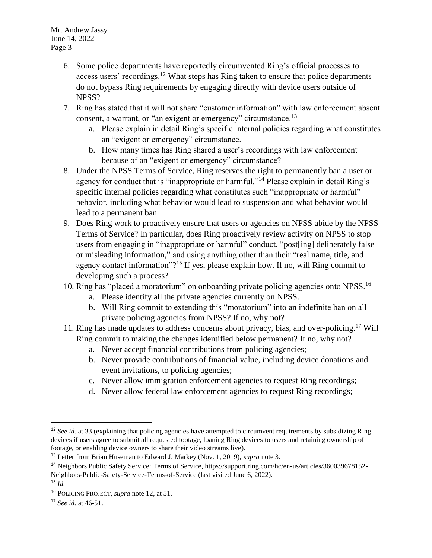- 6. Some police departments have reportedly circumvented Ring's official processes to access users' recordings.<sup>12</sup> What steps has Ring taken to ensure that police departments do not bypass Ring requirements by engaging directly with device users outside of NPSS?
- 7. Ring has stated that it will not share "customer information" with law enforcement absent consent, a warrant, or "an exigent or emergency" circumstance.<sup>13</sup>
	- a. Please explain in detail Ring's specific internal policies regarding what constitutes an "exigent or emergency" circumstance.
	- b. How many times has Ring shared a user's recordings with law enforcement because of an "exigent or emergency" circumstance?
- 8. Under the NPSS Terms of Service, Ring reserves the right to permanently ban a user or agency for conduct that is "inappropriate or harmful."<sup>14</sup> Please explain in detail Ring's specific internal policies regarding what constitutes such "inappropriate or harmful" behavior, including what behavior would lead to suspension and what behavior would lead to a permanent ban.
- 9. Does Ring work to proactively ensure that users or agencies on NPSS abide by the NPSS Terms of Service? In particular, does Ring proactively review activity on NPSS to stop users from engaging in "inappropriate or harmful" conduct, "post[ing] deliberately false or misleading information," and using anything other than their "real name, title, and agency contact information"?<sup>15</sup> If yes, please explain how. If no, will Ring commit to developing such a process?
- 10. Ring has "placed a moratorium" on onboarding private policing agencies onto NPSS.<sup>16</sup>
	- a. Please identify all the private agencies currently on NPSS.
	- b. Will Ring commit to extending this "moratorium" into an indefinite ban on all private policing agencies from NPSS? If no, why not?
- 11. Ring has made updates to address concerns about privacy, bias, and over-policing.<sup>17</sup> Will Ring commit to making the changes identified below permanent? If no, why not?
	- a. Never accept financial contributions from policing agencies;
	- b. Never provide contributions of financial value, including device donations and event invitations, to policing agencies;
	- c. Never allow immigration enforcement agencies to request Ring recordings;
	- d. Never allow federal law enforcement agencies to request Ring recordings;

 $\overline{\phantom{a}}$ 

<sup>&</sup>lt;sup>12</sup> *See id.* at 33 (explaining that policing agencies have attempted to circumvent requirements by subsidizing Ring devices if users agree to submit all requested footage, loaning Ring devices to users and retaining ownership of footage, or enabling device owners to share their video streams live).

<sup>13</sup> Letter from Brian Huseman to Edward J. Markey (Nov. 1, 2019), *supra* note 3.

<sup>14</sup> Neighbors Public Safety Service: Terms of Service, https://support.ring.com/hc/en-us/articles/360039678152- Neighbors-Public-Safety-Service-Terms-of-Service (last visited June 6, 2022).

<sup>15</sup> *Id.*

<sup>16</sup> POLICING PROJECT, *supra* note 12, at 51.

<sup>17</sup> *See id.* at 46-51.